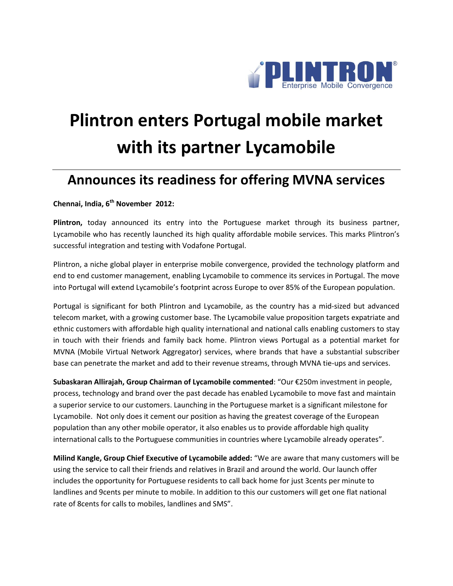

## **Plintron enters Portugal mobile market with its partner Lycamobile**

## **Announces its readiness for offering MVNA services**

**Chennai, India, 6 th November 2012:** 

**Plintron,** today announced its entry into the Portuguese market through its business partner, Lycamobile who has recently launched its high quality affordable mobile services. This marks Plintron's successful integration and testing with Vodafone Portugal.

Plintron, a niche global player in enterprise mobile convergence, provided the technology platform and end to end customer management, enabling Lycamobile to commence its services in Portugal. The move into Portugal will extend Lycamobile's footprint across Europe to over 85% of the European population.

Portugal is significant for both Plintron and Lycamobile, as the country has a mid-sized but advanced telecom market, with a growing customer base. The Lycamobile value proposition targets expatriate and ethnic customers with affordable high quality international and national calls enabling customers to stay in touch with their friends and family back home. Plintron views Portugal as a potential market for MVNA (Mobile Virtual Network Aggregator) services, where brands that have a substantial subscriber base can penetrate the market and add to their revenue streams, through MVNA tie-ups and services.

**[Subaskaran Allirajah,](http://en.wikipedia.org/wiki/Subaskaran_Allirajah) Group Chairman of Lycamobile commented**: "Our €250m investment in people, process, technology and brand over the past decade has enabled Lycamobile to move fast and maintain a superior service to our customers. Launching in the Portuguese market is a significant milestone for Lycamobile. Not only does it cement our position as having the greatest coverage of the European population than any other mobile operator, it also enables us to provide affordable high quality international calls to the Portuguese communities in countries where Lycamobile already operates".

**Milind Kangle, Group Chief Executive of Lycamobile added:** "We are aware that many customers will be using the service to call their friends and relatives in Brazil and around the world. Our launch offer includes the opportunity for Portuguese residents to call back home for just 3cents per minute to landlines and 9cents per minute to mobile. In addition to this our customers will get one flat national rate of 8cents for calls to mobiles, landlines and SMS".